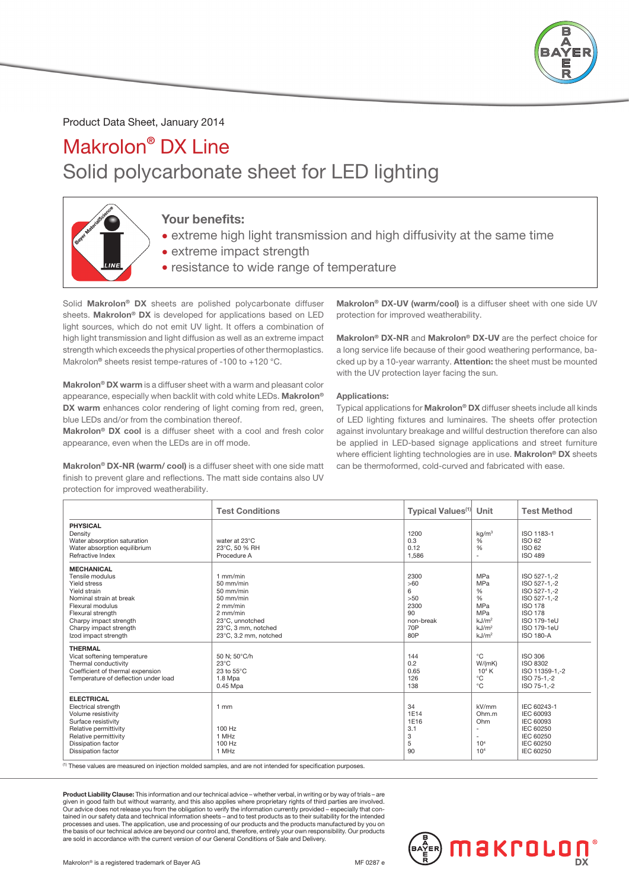

### Product Data Sheet, January 2014

## Makrolon® DX Line Solid polycarbonate sheet for LED lighting



### Your benefits:

- extreme high light transmission and high diffusivity at the same time
- extreme impact strength
- resistance to wide range of temperature

Solid Makrolon® DX sheets are polished polycarbonate diffuser sheets. Makrolon<sup>®</sup> DX is developed for applications based on LED light sources, which do not emit UV light. It offers a combination of high light transmission and light diffusion as well as an extreme impact strength which exceeds the physical properties of other thermoplastics. Makrolon<sup>®</sup> sheets resist tempe-ratures of -100 to +120 °C.

Makrolon<sup>®</sup> DX warm is a diffuser sheet with a warm and pleasant color appearance, especially when backlit with cold white LEDs. Makrolon® DX warm enhances color rendering of light coming from red, green, blue LEDs and/or from the combination thereof.

Makrolon® DX cool is a diffuser sheet with a cool and fresh color appearance, even when the LEDs are in off mode.

Makrolon® DX-NR (warm/ cool) is a diffuser sheet with one side matt finish to prevent glare and reflections. The matt side contains also UV protection for improved weatherability.

Makrolon<sup>®</sup> DX-UV (warm/cool) is a diffuser sheet with one side UV protection for improved weatherability.

Makrolon® DX-NR and Makrolon® DX-UV are the perfect choice for a long service life because of their good weathering performance, backed up by a 10-year warranty. Attention: the sheet must be mounted with the UV protection layer facing the sun.

#### Applications:

Typical applications for Makrolon® DX diffuser sheets include all kinds of LED lighting fixtures and luminaires. The sheets offer protection against involuntary breakage and willful destruction therefore can also be applied in LED-based signage applications and street furniture where efficient lighting technologies are in use. Makrolon® DX sheets can be thermoformed, cold-curved and fabricated with ease.

|                                                                                                                                                                                                                      | <b>Test Conditions</b>                                                                                                                                 | <b>Typical Values<sup>(1)</sup></b>                              | Unit                                                                                                                               | <b>Test Method</b>                                                                                                                                 |
|----------------------------------------------------------------------------------------------------------------------------------------------------------------------------------------------------------------------|--------------------------------------------------------------------------------------------------------------------------------------------------------|------------------------------------------------------------------|------------------------------------------------------------------------------------------------------------------------------------|----------------------------------------------------------------------------------------------------------------------------------------------------|
| <b>PHYSICAL</b><br>Density<br>Water absorption saturation<br>Water absorption equilibrium<br>Refractive Index                                                                                                        | water at 23°C<br>23°C, 50 % RH<br>Procedure A                                                                                                          | 1200<br>0.3<br>0.12<br>1,586                                     | kg/m <sup>3</sup><br>$\frac{0}{6}$<br>%<br>$\overline{\phantom{a}}$                                                                | ISO 1183-1<br>ISO 62<br>ISO 62<br><b>ISO 489</b>                                                                                                   |
| <b>MECHANICAL</b><br>Tensile modulus<br>Yield stress<br>Yield strain<br>Nominal strain at break<br>Flexural modulus<br>Flexural strength<br>Charpy impact strength<br>Charpy impact strength<br>Izod impact strength | $1$ mm/min<br>$50$ mm/min<br>$50$ mm/min<br>$50$ mm/min<br>$2$ mm/min<br>$2$ mm/min<br>23°C, unnotched<br>23°C. 3 mm. notched<br>23°C, 3.2 mm, notched | 2300<br>>60<br>6<br>>50<br>2300<br>90<br>non-break<br>70P<br>80P | <b>MPa</b><br><b>MPa</b><br>$\frac{0}{0}$<br>%<br>MPa<br><b>MPa</b><br>kJ/m <sup>2</sup><br>kJ/m <sup>2</sup><br>kJ/m <sup>2</sup> | ISO 527-1,-2<br>ISO 527-1,-2<br>ISO 527-1,-2<br>ISO 527-1,-2<br><b>ISO 178</b><br><b>ISO 178</b><br>ISO 179-1eU<br>ISO 179-1eU<br><b>ISO 180-A</b> |
| <b>THERMAL</b><br>Vicat softening temperature<br>Thermal conductivity<br>Coefficient of thermal expension<br>Temperature of deflection under load                                                                    | 50 N: 50°C/h<br>$23^{\circ}$ C<br>23 to $55^{\circ}$ C<br>1.8 Mpa<br>0.45 Mpa                                                                          | 144<br>0.2<br>0.65<br>126<br>138                                 | $^{\circ}C$<br>W/(mK)<br>10 <sup>4</sup> K<br>$^{\circ}C$<br>$^{\circ}$ C                                                          | <b>ISO 306</b><br>ISO 8302<br>ISO 11359-1.-2<br>ISO 75-1 - 2<br>ISO 75-1.-2                                                                        |
| <b>ELECTRICAL</b><br><b>Electrical strength</b><br>Volume resistivity<br>Surface resistivity<br>Relative permittivity<br>Relative permittivity<br><b>Dissipation factor</b><br>Dissipation factor                    | $1$ mm<br>100 Hz<br>1 MHz<br>100 Hz<br>1 MHz                                                                                                           | 34<br>1E14<br>1E16<br>3.1<br>3<br>5<br>90                        | kV/mm<br>Ohm.m<br>Ohm<br>$\overline{a}$<br>$\sim$<br>10 <sup>4</sup><br>10 <sup>4</sup>                                            | IEC 60243-1<br>IEC 60093<br>IEC 60093<br>IEC 60250<br><b>IEC 60250</b><br>IEC 60250<br><b>IEC 60250</b>                                            |

(1) These values are measured on injection molded samples, and are not intended for specification purposes.

Product Liability Clause: This information and our technical advice – whether verbal, in writing or by way of trials – are given in good faith but without warranty, and this also applies where proprietary rights of third parties are involved.<br>Our advice does not release you from the obligation to verify the information currently provided – esp tained in our safety data and technical information sheets – and to test products as to their suitability for the intended processes and uses. The application, use and processing of our products and the products manufactured by you on the basis of our technical advice are beyond our control and, therefore, entirely your own responsibility. Our products are sold in accordance with the current version of our General Conditions of Sale and Delivery.